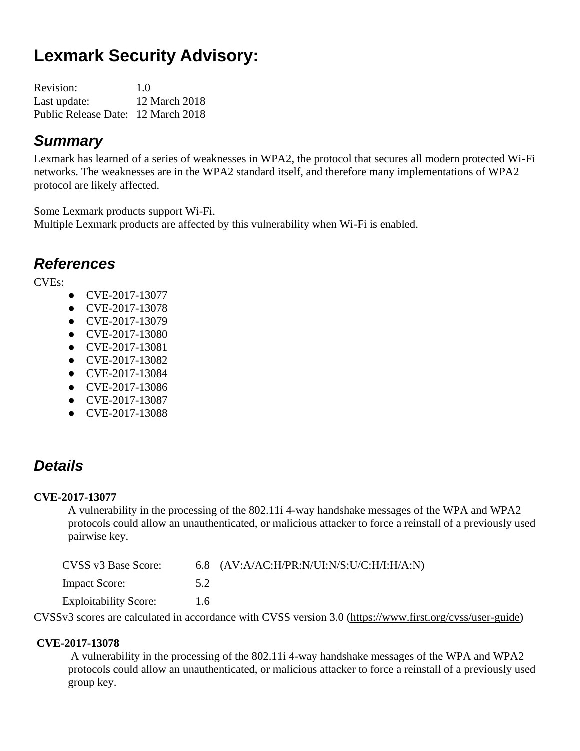# **Lexmark Security Advisory:**

| Revision:                          | 1.0           |
|------------------------------------|---------------|
| Last update:                       | 12 March 2018 |
| Public Release Date: 12 March 2018 |               |

### *Summary*

Lexmark has learned of a series of weaknesses in WPA2, the protocol that secures all modern protected Wi-Fi networks. The weaknesses are in the WPA2 standard itself, and therefore many implementations of WPA2 protocol are likely affected.

Some Lexmark products support Wi-Fi. Multiple Lexmark products are affected by this vulnerability when Wi-Fi is enabled.

### *References*

CVEs:

- CVE-2017-13077
- CVE-2017-13078
- CVE-2017-13079
- CVE-2017-13080
- CVE-2017-13081
- CVE-2017-13082
- CVE-2017-13084
- CVE-2017-13086
- CVE-2017-13087
- CVE-2017-13088

# *Details*

### **CVE-2017-13077**

A vulnerability in the processing of the 802.11i 4-way handshake messages of the WPA and WPA2 protocols could allow an unauthenticated, or malicious attacker to force a reinstall of a previously used pairwise key.

| CVSS v3 Base Score:          |      | 6.8 $(AV:A/AC:H/PR:N/UI:N/S:U/C:H/I:H/A:N)$ |  |
|------------------------------|------|---------------------------------------------|--|
| <b>Impact Score:</b>         | 5.2  |                                             |  |
| <b>Exploitability Score:</b> | 1.6. |                                             |  |
|                              |      |                                             |  |

CVSSv3 scores are calculated in accordance with CVSS version 3.0 [\(https://www.first.org/cvss/user-guide\)](https://www.first.org/cvss/user-guide)

### **CVE-2017-13078**

A vulnerability in the processing of the 802.11i 4-way handshake messages of the WPA and WPA2 protocols could allow an unauthenticated, or malicious attacker to force a reinstall of a previously used group key.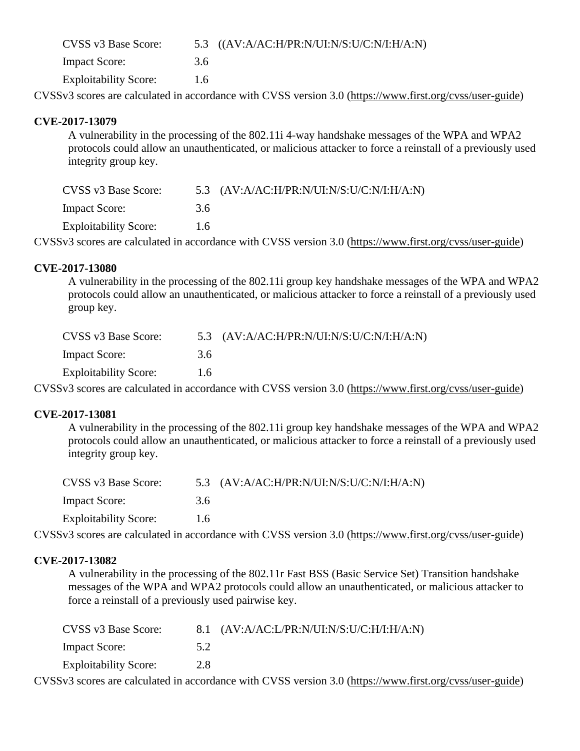| CVSS v3 Base Score:          |     | 5.3 $((AV:A/AC:H/PR:N/UI:N/S:U/C:N/I:H/A:N))$ |
|------------------------------|-----|-----------------------------------------------|
| <b>Impact Score:</b>         | 3.6 |                                               |
| <b>Exploitability Score:</b> | 1.6 |                                               |

CVSSv3 scores are calculated in accordance with CVSS version 3.0 [\(https://www.first.org/cvss/user-guide\)](https://www.first.org/cvss/user-guide)

#### **CVE-2017-13079**

A vulnerability in the processing of the 802.11i 4-way handshake messages of the WPA and WPA2 protocols could allow an unauthenticated, or malicious attacker to force a reinstall of a previously used integrity group key.

| CVSS v3 Base Score:          |     | 5.3 $(AV:A/AC:H/PR:N/UI:N/S:U/C:N/I:H/A:N)$ |
|------------------------------|-----|---------------------------------------------|
| <b>Impact Score:</b>         | 3.6 |                                             |
| <b>Exploitability Score:</b> | 1.6 |                                             |
|                              |     |                                             |

CVSSv3 scores are calculated in accordance with CVSS version 3.0 [\(https://www.first.org/cvss/user-guide\)](https://www.first.org/cvss/user-guide)

#### **CVE-2017-13080**

A vulnerability in the processing of the 802.11i group key handshake messages of the WPA and WPA2 protocols could allow an unauthenticated, or malicious attacker to force a reinstall of a previously used group key.

| CVSS v3 Base Score:          |     | 5.3 $(AV:A/AC:H/PR:N/UI:N/S:U/C:N/I:H/A:N)$ |
|------------------------------|-----|---------------------------------------------|
| <b>Impact Score:</b>         | 3.6 |                                             |
| <b>Exploitability Score:</b> | 1.6 |                                             |

CVSSv3 scores are calculated in accordance with CVSS version 3.0 [\(https://www.first.org/cvss/user-guide\)](https://www.first.org/cvss/user-guide)

#### **CVE-2017-13081**

A vulnerability in the processing of the 802.11i group key handshake messages of the WPA and WPA2 protocols could allow an unauthenticated, or malicious attacker to force a reinstall of a previously used integrity group key.

| CVSS v3 Base Score:          |     | 5.3 $(AV:A/AC:H/PR:N/UI:N/S:U/C:N/I:H/A:N)$ |
|------------------------------|-----|---------------------------------------------|
| <b>Impact Score:</b>         | 3.6 |                                             |
| <b>Exploitability Score:</b> | 1.6 |                                             |

CVSSv3 scores are calculated in accordance with CVSS version 3.0 [\(https://www.first.org/cvss/user-guide\)](https://www.first.org/cvss/user-guide)

#### **CVE-2017-13082**

A vulnerability in the processing of the 802.11r Fast BSS (Basic Service Set) Transition handshake messages of the WPA and WPA2 protocols could allow an unauthenticated, or malicious attacker to force a reinstall of a previously used pairwise key.

| CVSS v3 Base Score:          |     | 8.1 $(AV:A/AC:L/PR:N/UI:N/S:U/C:H/I:H/A:N)$ |
|------------------------------|-----|---------------------------------------------|
| <b>Impact Score:</b>         | 5.2 |                                             |
| <b>Exploitability Score:</b> | 2.8 |                                             |
|                              |     | $\cdots$                                    |

CVSSv3 scores are calculated in accordance with CVSS version 3.0 [\(https://www.first.org/cvss/user-guide\)](https://www.first.org/cvss/user-guide)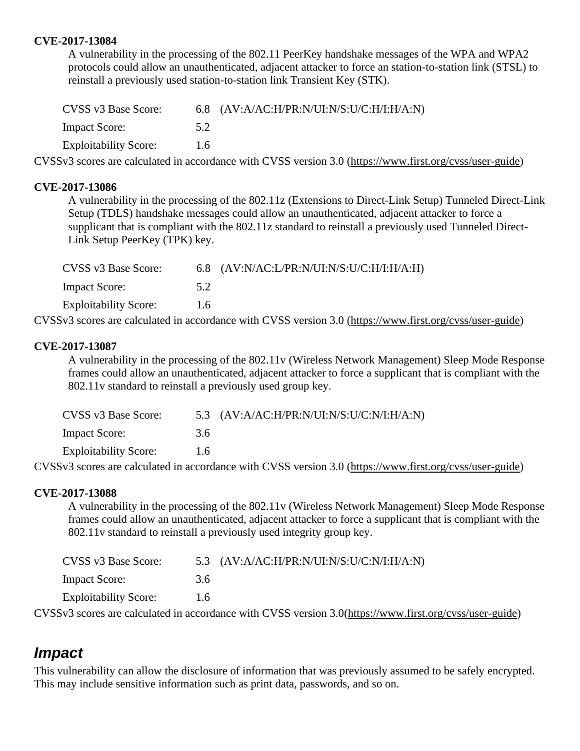#### **CVE-2017-13084**

A vulnerability in the processing of the 802.11 PeerKey handshake messages of the WPA and WPA2 protocols could allow an unauthenticated, adjacent attacker to force an station-to-station link (STSL) to reinstall a previously used station-to-station link Transient Key (STK).

| CVSS v3 Base Score:          |     | 6.8 $(AV:A/AC:H/PR:N/UI:N/S:U/C:H/I:H/A:N)$ |
|------------------------------|-----|---------------------------------------------|
| <b>Impact Score:</b>         | 5.2 |                                             |
| <b>Exploitability Score:</b> | 1.6 |                                             |

CVSSv3 scores are calculated in accordance with CVSS version 3.0 [\(https://www.first.org/cvss/user-guide\)](https://www.first.org/cvss/user-guide)

#### **CVE-2017-13086**

A vulnerability in the processing of the 802.11z (Extensions to Direct-Link Setup) Tunneled Direct-Link Setup (TDLS) handshake messages could allow an unauthenticated, adjacent attacker to force a supplicant that is compliant with the 802.11z standard to reinstall a previously used Tunneled Direct-Link Setup PeerKey (TPK) key.

| CVSS v3 Base Score:          |     | 6.8 $(AV:N/AC:L/PR:N/UI:N/S:U/C:H/I:H/A:H)$ |
|------------------------------|-----|---------------------------------------------|
| <b>Impact Score:</b>         | 5.2 |                                             |
| <b>Exploitability Score:</b> | 1.6 |                                             |
|                              |     | $\sim$ $\sim$ $\sim$ $\sim$ $\sim$ $\sim$   |

CVSSv3 scores are calculated in accordance with CVSS version 3.0 [\(https://www.first.org/cvss/user-guide\)](https://www.first.org/cvss/user-guide)

#### **CVE-2017-13087**

A vulnerability in the processing of the 802.11v (Wireless Network Management) Sleep Mode Response frames could allow an unauthenticated, adjacent attacker to force a supplicant that is compliant with the 802.11v standard to reinstall a previously used group key.

| CVSS v3 Base Score:          |               | 5.3 $(AV:A/AC:H/PR:N/UI:N/S:U/C:N/I:H/A:N)$ |
|------------------------------|---------------|---------------------------------------------|
| <b>Impact Score:</b>         | 3.6           |                                             |
| <b>Exploitability Score:</b> | $1.6^{\circ}$ |                                             |

CVSSv3 scores are calculated in accordance with CVSS version 3.0 [\(https://www.first.org/cvss/user-guide\)](https://www.first.org/cvss/user-guide)

#### **CVE-2017-13088**

A vulnerability in the processing of the 802.11v (Wireless Network Management) Sleep Mode Response frames could allow an unauthenticated, adjacent attacker to force a supplicant that is compliant with the 802.11v standard to reinstall a previously used integrity group key.

| CVSS v3 Base Score:          |     | 5.3 $(AV:A/AC:H/PR:N/UI:N/S:U/C:N/I:H/A:N)$ |
|------------------------------|-----|---------------------------------------------|
| <b>Impact Score:</b>         | 3.6 |                                             |
| <b>Exploitability Score:</b> | 1.6 |                                             |
|                              |     |                                             |

CVSSv3 scores are calculated in accordance with CVSS version 3.0[\(https://www.first.org/cvss/user-guide\)](https://www.first.org/cvss/user-guide)

### *Impact*

This vulnerability can allow the disclosure of information that was previously assumed to be safely encrypted. This may include sensitive information such as print data, passwords, and so on.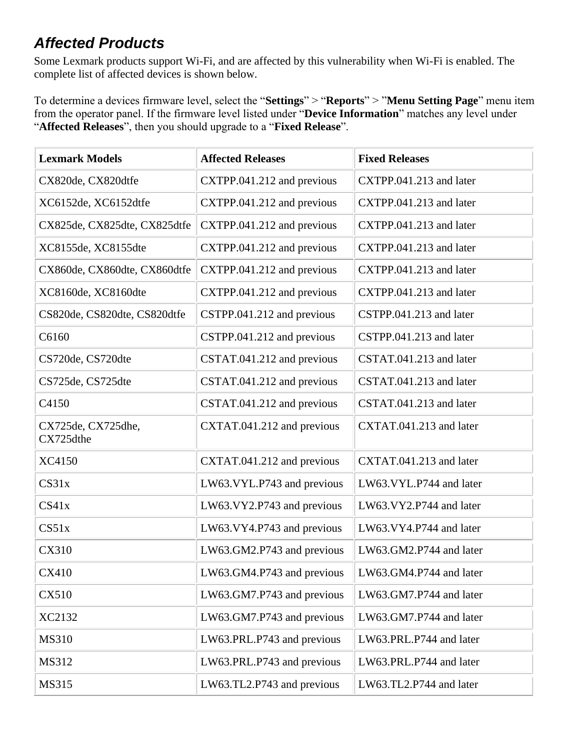# *Affected Products*

Some Lexmark products support Wi-Fi, and are affected by this vulnerability when Wi-Fi is enabled. The complete list of affected devices is shown below.

To determine a devices firmware level, select the "**Settings**" > "**Reports**" > "**Menu Setting Page**" menu item from the operator panel. If the firmware level listed under "**Device Information**" matches any level under "**Affected Releases**", then you should upgrade to a "**Fixed Release**".

| <b>Lexmark Models</b>           | <b>Affected Releases</b>   | <b>Fixed Releases</b>   |
|---------------------------------|----------------------------|-------------------------|
| CX820de, CX820dtfe              | CXTPP.041.212 and previous | CXTPP.041.213 and later |
| XC6152de, XC6152dtfe            | CXTPP.041.212 and previous | CXTPP.041.213 and later |
| CX825de, CX825dte, CX825dtfe    | CXTPP.041.212 and previous | CXTPP.041.213 and later |
| XC8155de, XC8155dte             | CXTPP.041.212 and previous | CXTPP.041.213 and later |
| CX860de, CX860dte, CX860dtfe    | CXTPP.041.212 and previous | CXTPP.041.213 and later |
| XC8160de, XC8160dte             | CXTPP.041.212 and previous | CXTPP.041.213 and later |
| CS820de, CS820dte, CS820dtfe    | CSTPP.041.212 and previous | CSTPP.041.213 and later |
| C6160                           | CSTPP.041.212 and previous | CSTPP.041.213 and later |
| CS720de, CS720dte               | CSTAT.041.212 and previous | CSTAT.041.213 and later |
| CS725de, CS725dte               | CSTAT.041.212 and previous | CSTAT.041.213 and later |
| C4150                           | CSTAT.041.212 and previous | CSTAT.041.213 and later |
| CX725de, CX725dhe,<br>CX725dthe | CXTAT.041.212 and previous | CXTAT.041.213 and later |
| XC4150                          | CXTAT.041.212 and previous | CXTAT.041.213 and later |
| CS31x                           | LW63.VYL.P743 and previous | LW63.VYL.P744 and later |
| CS41x                           | LW63.VY2.P743 and previous | LW63.VY2.P744 and later |
| CS51x                           | LW63.VY4.P743 and previous | LW63.VY4.P744 and later |
| <b>CX310</b>                    | LW63.GM2.P743 and previous | LW63.GM2.P744 and later |
| CX410                           | LW63.GM4.P743 and previous | LW63.GM4.P744 and later |
| <b>CX510</b>                    | LW63.GM7.P743 and previous | LW63.GM7.P744 and later |
| XC2132                          | LW63.GM7.P743 and previous | LW63.GM7.P744 and later |
| <b>MS310</b>                    | LW63.PRL.P743 and previous | LW63.PRL.P744 and later |
| MS312                           | LW63.PRL.P743 and previous | LW63.PRL.P744 and later |
| <b>MS315</b>                    | LW63.TL2.P743 and previous | LW63.TL2.P744 and later |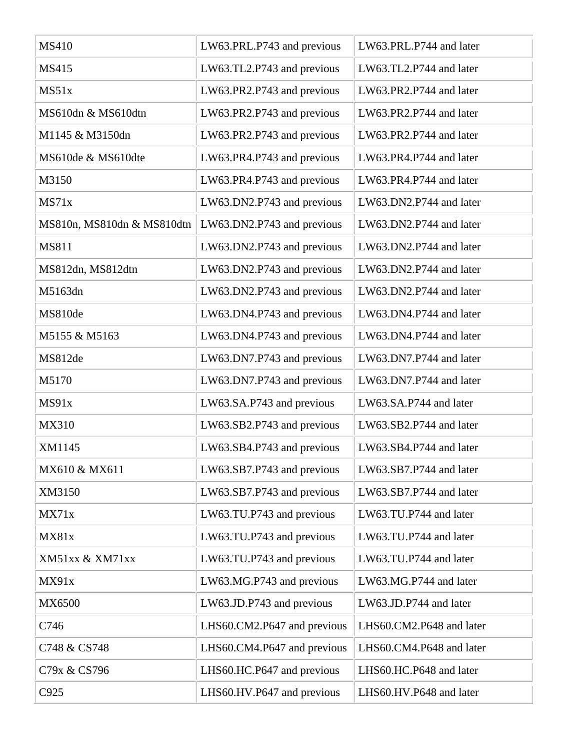| <b>MS410</b>               | LW63.PRL.P743 and previous  | LW63.PRL.P744 and later  |
|----------------------------|-----------------------------|--------------------------|
| <b>MS415</b>               | LW63.TL2.P743 and previous  | LW63.TL2.P744 and later  |
| MS51x                      | LW63.PR2.P743 and previous  | LW63.PR2.P744 and later  |
| MS610dn & MS610dtn         | LW63.PR2.P743 and previous  | LW63.PR2.P744 and later  |
| M1145 & M3150dn            | LW63.PR2.P743 and previous  | LW63.PR2.P744 and later  |
| MS610de & MS610dte         | LW63.PR4.P743 and previous  | LW63.PR4.P744 and later  |
| M3150                      | LW63.PR4.P743 and previous  | LW63.PR4.P744 and later  |
| MS71x                      | LW63.DN2.P743 and previous  | LW63.DN2.P744 and later  |
| MS810n, MS810dn & MS810dtn | LW63.DN2.P743 and previous  | LW63.DN2.P744 and later  |
| MS811                      | LW63.DN2.P743 and previous  | LW63.DN2.P744 and later  |
| MS812dn, MS812dtn          | LW63.DN2.P743 and previous  | LW63.DN2.P744 and later  |
| M5163dn                    | LW63.DN2.P743 and previous  | LW63.DN2.P744 and later  |
| MS810de                    | LW63.DN4.P743 and previous  | LW63.DN4.P744 and later  |
| M5155 & M5163              | LW63.DN4.P743 and previous  | LW63.DN4.P744 and later  |
| MS812de                    | LW63.DN7.P743 and previous  | LW63.DN7.P744 and later  |
| M5170                      | LW63.DN7.P743 and previous  | LW63.DN7.P744 and later  |
| MS91x                      | LW63.SA.P743 and previous   | LW63.SA.P744 and later   |
| MX310                      | LW63.SB2.P743 and previous  | LW63.SB2.P744 and later  |
| XM1145                     | LW63.SB4.P743 and previous  | LW63.SB4.P744 and later  |
| MX610 & MX611              | LW63.SB7.P743 and previous  | LW63.SB7.P744 and later  |
| XM3150                     | LW63.SB7.P743 and previous  | LW63.SB7.P744 and later  |
| MX71x                      | LW63.TU.P743 and previous   | LW63.TU.P744 and later   |
| MX81x                      | LW63.TU.P743 and previous   | LW63.TU.P744 and later   |
| XM51xx & XM71xx            | LW63.TU.P743 and previous   | LW63.TU.P744 and later   |
| MX91x                      | LW63.MG.P743 and previous   | LW63.MG.P744 and later   |
| MX6500                     | LW63.JD.P743 and previous   | LW63.JD.P744 and later   |
| C746                       | LHS60.CM2.P647 and previous | LHS60.CM2.P648 and later |
| C748 & CS748               | LHS60.CM4.P647 and previous | LHS60.CM4.P648 and later |
| C79x & CS796               | LHS60.HC.P647 and previous  | LHS60.HC.P648 and later  |
| C925                       | LHS60.HV.P647 and previous  | LHS60.HV.P648 and later  |